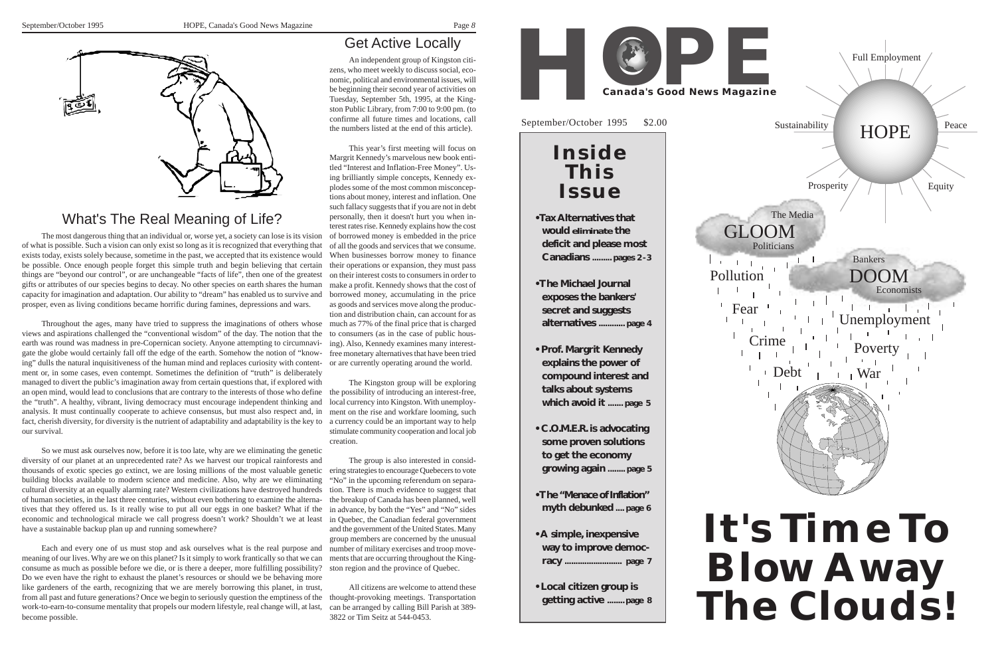

*8*

### What's The Real Meaning of Life?

The most dangerous thing that an individual or, worse yet, a society can lose is its vision of what is possible. Such a vision can only exist so long as it is recognized that everything that exists today, exists solely because, sometime in the past, we accepted that its existence would be possible. Once enough people forget this simple truth and begin believing that certain things are "beyond our control", or are unchangeable "facts of life", then one of the greatest gifts or attributes of our species begins to decay. No other species on earth shares the human capacity for imagination and adaptation. Our ability to "dream" has enabled us to survive and prosper, even as living conditions became horrific during famines, depressions and wars.

Throughout the ages, many have tried to suppress the imaginations of others whose views and aspirations challenged the "conventional wisdom" of the day. The notion that the earth was round was madness in pre-Copernican society. Anyone attempting to circumnavigate the globe would certainly fall off the edge of the earth. Somehow the notion of "knowing" dulls the natural inquisitiveness of the human mind and replaces curiosity with contentment or, in some cases, even contempt. Sometimes the definition of "truth" is deliberately managed to divert the public's imagination away from certain questions that, if explored with an open mind, would lead to conclusions that are contrary to the interests of those who define the "truth". A healthy, vibrant, living democracy must encourage independent thinking and analysis. It must continually cooperate to achieve consensus, but must also respect and, in fact, cherish diversity, for diversity is the nutrient of adaptability and adaptability is the key to our survival.

So we must ask ourselves now, before it is too late, why are we eliminating the genetic diversity of our planet at an unprecedented rate? As we harvest our tropical rainforests and thousands of exotic species go extinct, we are losing millions of the most valuable genetic building blocks available to modern science and medicine. Also, why are we eliminating cultural diversity at an equally alarming rate? Western civilizations have destroyed hundreds of human societies, in the last three centuries, without even bothering to examine the alternatives that they offered us. Is it really wise to put all our eggs in one basket? What if the economic and technological miracle we call progress doesn't work? Shouldn't we at least have a sustainable backup plan up and running somewhere?

Each and every one of us must stop and ask ourselves what is the real purpose and meaning of our lives. Why are we on this planet? Is it simply to work frantically so that we can consume as much as possible before we die, or is there a deeper, more fulfilling possibility? Do we even have the right to exhaust the planet's resources or should we be behaving more like gardeners of the earth, recognizing that we are merely borrowing this planet, in trust, from all past and future generations? Once we begin to seriously question the emptiness of the work-to-earn-to-consume mentality that propels our modern lifestyle, real change will, at last, become possible.

## Get Active Locally

An independent group of Kingston citizens, who meet weekly to discuss social, economic, political and environmental issues, will be beginning their second year of activities on Tuesday, September 5th, 1995, at the Kingston Public Library, from 7:00 to 9:00 pm. (to confirme all future times and locations, call the numbers listed at the end of this article).

This year's first meeting will focus on Margrit Kennedy's marvelous new book entitled "Interest and Inflation-Free Money". Using brilliantly simple concepts, Kennedy explodes some of the most common misconceptions about money, interest and inflation. One such fallacy suggests that if you are not in debt personally, then it doesn't hurt you when interest rates rise. Kennedy explains how the cost of borrowed money is embedded in the price of all the goods and services that we consume. When businesses borrow money to finance their operations or expansion, they must pass on their interest costs to consumers in order to make a profit. Kennedy shows that the cost of borrowed money, accumulating in the price as goods and services move along the production and distribution chain, can account for as much as 77% of the final price that is charged to consumers (as in the case of public housing). Also, Kennedy examines many interestfree monetary alternatives that have been tried or are currently operating around the world.

The Kingston group will be exploring the possibility of introducing an interest-free, local currency into Kingston. With unemployment on the rise and workfare looming, such a currency could be an important way to help stimulate community cooperation and local job creation.

The group is also interested in considering strategies to encourage Quebecers to vote "No" in the upcoming referendum on separation. There is much evidence to suggest that the breakup of Canada has been planned, well in advance, by both the "Yes" and "No" sides in Quebec, the Canadian federal government and the government of the United States. Many group members are concerned by the unusual number of military exercises and troop movements that are occurring throughout the Kingston region and the province of Quebec.

All citizens are welcome to attend these thought-provoking meetings. Transportation can be arranged by calling Bill Parish at 389- 3822 or Tim Seitz at 544-0453.



- 
- 
- 
- 
- 
- 
- 

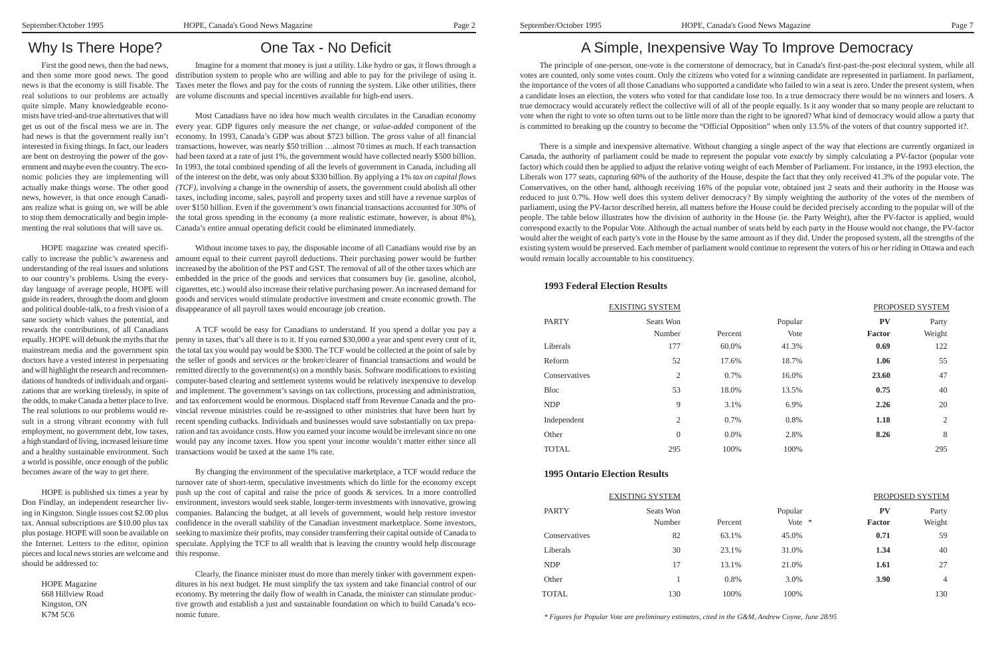### Why Is There Hope?

First the good news, then the bad news, and then some more good news. The good quite simple. Many knowledgeable economists have tried-and-true alternatives that will bad news is that the government really isn't interested in fixing things. In fact, our leaders menting the real solutions that will save us.

news is that the economy is still fixable. The Taxes meter the flows and pay for the costs of running the system. Like other utilities, there real solutions to our problems are actually are volume discounts and special incentives available for high-end users. Imagine for a moment that money is just a utility. Like hydro or gas, it flows through a distribution system to people who are willing and able to pay for the privilege of using it.

HOPE magazine was created specifically to increase the public's awareness and understanding of the real issues and solutions to our country's problems. Using the everyday language of average people, HOPE will guide its readers, through the doom and gloom sane society which values the potential, and rewards the contributions, of all Canadians mainstream media and the government spin and will highlight the research and recommendations of hundreds of individuals and organithe odds, to make Canada a better place to live. The real solutions to our problems would result in a strong vibrant economy with full a world is possible, once enough of the public becomes aware of the way to get there.

get us out of the fiscal mess we are in. The every year. GDP figures only measure the *net* change, or *value-added* component of the are bent on destroying the power of the gov-had been taxed at a rate of just 1%, the government would have collected nearly \$500 billion. ernment and maybe even the country. The eco-In 1993, the total combined spending of all the levels of government in Canada, including all nomic policies they are implementing will of the interest on the debt, was only about \$330 billion. By applying a 1% *tax on capital flows* actually make things worse. The other good *(TCF),* involv*ing* a change in the ownership of assets, the government could abolish all other news, however, is that once enough Canadi-taxes, including income, sales, payroll and property taxes and still have a revenue surplus of ans realize what is going on, we will be able over \$150 billion. Even if the government's own financial transactions accounted for 30% of to stop them democratically and begin imple-the total gross spending in the economy (a more realistic estimate, however, is about 8%), Most Canadians have no idea how much wealth circulates in the Canadian economy economy. In 1993, Canada's GDP was about \$723 billion. The *gross* value of all financial transactions, however, was nearly \$50 trillion …almost 70 times as much. If each transaction Canada's entire annual operating deficit could be eliminated immediately.

pieces and local news stories are welcome and this response. should be addressed to:

HOPE Magazine 668 Hillview Road Kingston, ON K7M 5C6

### One Tax - No Deficit

and political double-talk, to a fresh vision of a disappearance of all payroll taxes would encourage job creation. Without income taxes to pay, the disposable income of all Canadians would rise by an amount equal to their current payroll deductions. Their purchasing power would be further increased by the abolition of the PST and GST. The removal of all of the other taxes which are embedded in the price of the goods and services that consumers buy (ie. gasoline, alcohol, cigarettes, etc.) would also increase their relative purchasing power. An increased demand for goods and services would stimulate productive investment and create economic growth. The

equally. HOPE will debunk the myths that the penny in taxes, that's all there is to it. If you earned \$30,000 a year and spent every cent of it, doctors have a vested interest in perpetuating the seller of goods and services or the broker/clearer of financial transactions and would be zations that are working tirelessly, in spite of and implement. The government's savings on tax collections, processing and administration, employment, no government debt, low taxes, ration and tax avoidance costs. How you earned your income would be irrelevant since no one a high standard of living, increased leisure time would pay any income taxes. How you spent your income wouldn't matter either since all and a healthy sustainable environment. Such transactions would be taxed at the same 1% rate. A TCF would be easy for Canadians to understand. If you spend a dollar you pay a the total tax you would pay would be \$300. The TCF would be collected at the point of sale by remitted directly to the government(s) on a monthly basis. Software modifications to existing computer-based clearing and settlement systems would be relatively inexpensive to develop and tax enforcement would be enormous. Displaced staff from Revenue Canada and the provincial revenue ministries could be re-assigned to other ministries that have been hurt by recent spending cutbacks. Individuals and businesses would save substantially on tax prepa-

HOPE is published six times a year by push up the cost of capital and raise the price of goods & services. In a more controlled Don Findlay, an independent researcher liv- environment, investors would seek stable, longer-term investments with innovative, growing ing in Kingston. Single issues cost \$2.00 plus companies. Balancing the budget, at all levels of government, would help restore investor tax. Annual subscriptions are \$10.00 plus tax confidence in the overall stability of the Canadian investment marketplace. Some investors, plus postage. HOPE will soon be available on seeking to maximize their profits, may consider transferring their capital outside of Canada to the Internet. Letters to the editor, opinion speculate. Applying the TCF to all wealth that is leaving the country would help discourage By changing the environment of the speculative marketplace, a TCF would reduce the turnover rate of short-term, speculative investments which do little for the economy except

> Clearly, the finance minister must do more than merely tinker with government expenditures in his next budget. He must simplify the tax system and take financial control of our economy. By metering the daily flow of wealth in Canada, the minister can stimulate productive growth and establish a just and sustainable foundation on which to build Canada's economic future.

# A Simple, Inexpensive Way To Improve Democracy

The principle of one-person, one-vote is the cornerstone of democracy, but in Canada's first-past-the-post electoral system, while all votes are counted, only some votes count. Only the citizens who voted for a winning candidate are represented in parliament. In parliament, the importance of the votes of all those Canadians who supported a candidate who failed to win a seat is zero. Under the present system, when a candidate loses an election, the voters who voted for that candidate lose too. In a true democracy there would be no winners and losers. A true democracy would accurately reflect the collective will of all of the people equally. Is it any wonder that so many people are reluctant to vote when the right to vote so often turns out to be little more than the right to be ignored? What kind of democracy would allow a party that is committed to breaking up the country to become the "Official Opposition" when only 13.5% of the voters of that country supported it?.

There is a simple and inexpensive alternative. Without changing a single aspect of the way that elections are currently organized in Canada, the authority of parliament could be made to represent the popular vote *exactly* by simply calculating a PV-factor (popular vote factor) which could then be applied to adjust the relative voting weight of each Member of Parliament. For instance, in the 1993 election, the Liberals won 177 seats, capturing 60% of the authority of the House, despite the fact that they only received 41.3% of the popular vote. The Conservatives, on the other hand, although receiving 16% of the popular vote, obtained just 2 seats and their authority in the House was reduced to just 0.7%. How well does this system deliver democracy? By simply weighting the authority of the votes of the members of parliament, using the PV-factor described herein, all matters before the House could be decided precisely according to the popular will of the people. The table below illustrates how the division of authority in the House (ie. the Party Weight), after the PV-factor is applied, would correspond exactly to the Popular Vote. Although the actual number of seats held by each party in the House would not change, the PV-factor would alter the weight of each party's vote in the House by the same amount as if they did. Under the proposed system, all the strengths of the existing system would be preserved. Each member of parliament would continue to represent the voters of his or her riding in Ottawa and each would remain locally accountable to his constituency.

### **1993 Federal Election Results**

| <b>EXISTING SYSTEM</b> | PROPOSED SYSTEM |         |        |                |
|------------------------|-----------------|---------|--------|----------------|
| Seats Won              |                 | Popular | PV     | Party          |
| Number                 | Percent         | Vote    | Factor | Weight         |
| 177                    | 60.0%           | 41.3%   | 0.69   | 122            |
| 52                     | 17.6%           | 18.7%   | 1.06   | 55             |
| 2                      | 0.7%            | 16.0%   | 23.60  | 47             |
| 53                     | 18.0%           | 13.5%   | 0.75   | 40             |
| 9                      | 3.1%            | 6.9%    | 2.26   | 20             |
| $\overline{c}$         | 0.7%            | 0.8%    | 1.18   | $\mathfrak{2}$ |
| $\theta$               | $0.0\%$         | 2.8%    | 8.26   | 8              |
| 295                    | 100%            | 100%    |        | 295            |
|                        |                 |         |        |                |

#### **1995 Ontario Election Results**

| <b>EXISTING SYSTEM</b> | PROPOSED SYSTEM |         |  |                     |                 |
|------------------------|-----------------|---------|--|---------------------|-----------------|
| Seats Won<br>Number    | Percent         | Popular |  | PV<br><b>Factor</b> | Party<br>Weight |
| 82                     | 63.1%           | 45.0%   |  | 0.71                | 59              |
| 30                     | 23.1%           | 31.0%   |  | 1.34                | 40              |
| 17                     | 13.1%           | 21.0%   |  | 1.61                | 27              |
|                        | 0.8%            | 3.0%    |  | 3.90                | $\overline{4}$  |
| 130                    | 100%            | 100%    |  |                     | 130             |
|                        |                 |         |  | Vote $*$            |                 |

*\* Figures for Popular Vote are preliminary estimates, cited in the G&M, Andrew Coyne, June 28/95*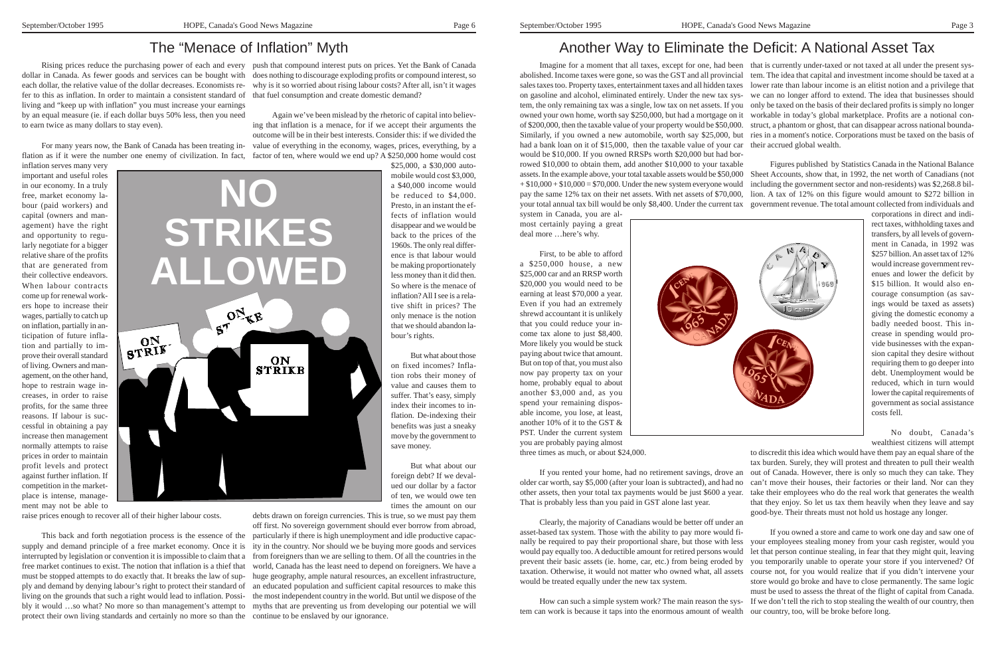# Another Way to Eliminate the Deficit: A National Asset Tax

system in Canada, you are almost certainly paying a great deal more …here's why.

First, to be able to afford a \$250,000 house, a new \$25,000 car and an RRSP worth \$20,000 you would need to be earning at least \$70,000 a year. Even if you had an extremely shrewd accountant it is unlikely that you could reduce your income tax alone to just \$8,400. More likely you would be stuck paying about twice that amount. But on top of that, you must also now pay property tax on your home, probably equal to about another \$3,000 and, as you spend your remaining disposable income, you lose, at least, another 10% of it to the GST & PST. Under the current system you are probably paying almost



Imagine for a moment that all taxes, except for one, had been that is currently under-taxed or not taxed at all under the present sysabolished. Income taxes were gone, so was the GST and all provincial tem. The idea that capital and investment income should be taxed at a sales taxes too. Property taxes, entertainment taxes and all hidden taxes lower rate than labour income is an elitist notion and a privilege that on gasoline and alcohol, eliminated entirely. Under the new tax sys-we can no longer afford to extend. The idea that businesses should tem, the only remaining tax was a single, low tax on net assets. If you only be taxed on the basis of their declared profits is simply no longer owned your own home, worth say \$250,000, but had a mortgage on it workable in today's global marketplace. Profits are a notional conof \$200,000, then the taxable value of your property would be \$50,000. struct, a phantom or ghost, that can disappear across national bounda-Similarly, if you owned a new automobile, worth say \$25,000, but ries in a moment's notice. Corporations must be taxed on the basis of had a bank loan on it of \$15,000, then the taxable value of your car their accrued global wealth. would be \$10,000. If you owned RRSPs worth \$20,000 but had borrowed \$10,000 to obtain them, add another \$10,000 to your taxable assets. In the example above, your total taxable assets would be \$50,000 Sheet Accounts, show that, in 1992, the net worth of Canadians (not  $+ $10,000 + $10,000 = $70,000$ . Under the new system everyone would pay the same 12% tax on their net assets. With net assets of \$70,000, your total annual tax bill would be only \$8,400. Under the current tax Figures published by Statistics Canada in the National Balance including the government sector and non-residents) was \$2,268.8 billion. A tax of 12% on this figure would amount to \$272 billion in government revenue. The total amount collected from individuals and

three times as much, or about \$24,000.

If you rented your home, had no retirement savings, drove an older car worth, say \$5,000 (after your loan is subtracted), and had no That is probably less than you paid in GST alone last year.

Clearly, the majority of Canadians would be better off under an asset-based tax system. Those with the ability to pay more would finally be required to pay their proportional share, but those with less would pay equally too. A deductible amount for retired persons would prevent their basic assets (ie. home, car, etc.) from being eroded by taxation. Otherwise, it would not matter who owned what, all assets would be treated equally under the new tax system.

other assets, then your total tax payments would be just \$600 a year. take their employees who do the real work that generates the wealth to discredit this idea which would have them pay an equal share of the tax burden. Surely, they will protest and threaten to pull their wealth out of Canada. However, there is only so much they can take. They can't move their houses, their factories or their land. Nor can they that they enjoy. So let us tax them heavily when they leave and say good-bye. Their threats must not hold us hostage any longer.

corporations in direct and indirect taxes, withholding taxes and transfers, by all levels of government in Canada, in 1992 was \$257 billion. An asset tax of 12% would increase government revenues and lower the deficit by \$15 billion. It would also encourage consumption (as savings would be taxed as assets) giving the domestic economy a badly needed boost. This increase in spending would provide businesses with the expansion capital they desire without requiring them to go deeper into debt. Unemployment would be reduced, which in turn would lower the capital requirements of government as social assistance costs fell.

How can such a simple system work? The main reason the system can work is because it taps into the enormous amount of wealth our country, too, will be broke before long.

No doubt, Canada's wealthiest citizens will attempt

If you owned a store and came to work one day and saw one of your employees stealing money from your cash register, would you let that person continue stealing, in fear that they might quit, leaving you temporarily unable to operate your store if you intervened? Of course not, for you would realize that if you didn't intervene your store would go broke and have to close permanently. The same logic

must be used to assess the threat of the flight of capital from Canada. If we don't tell the rich to stop stealing the wealth of our country, then

# The "Menace of Inflation" Myth

dollar in Canada. As fewer goods and services can be bought with does nothing to discourage exploding profits or compound interest, so each dollar, the relative value of the dollar decreases. Economists re-why is it so worried about rising labour costs? After all, isn't it wages fer to this as inflation. In order to maintain a consistent standard of that fuel consumption and create domestic demand? living and "keep up with inflation" you must increase your earnings by an equal measure (ie. if each dollar buys 50% less, then you need to earn twice as many dollars to stay even).

inflation serves many very important and useful roles in our economy. In a truly free, market economy labour (paid workers) and capital (owners and management) have the right and opportunity to regularly negotiate for a bigger relative share of the profits that are generated from their collective endeavors. When labour contracts come up for renewal workers hope to increase their wages, partially to catch up on inflation, partially in anticipation of future inflation and partially to improve their overall standard of living. Owners and management, on the other hand, hope to restrain wage increases, in order to raise profits, for the same three reasons. If labour is successful in obtaining a pay increase then management normally attempts to raise prices in order to maintain profit levels and protect against further inflation. If competition in the marketplace is intense, management may not be able to

Rising prices reduce the purchasing power of each and every push that compound interest puts on prices. Yet the Bank of Canada

raise prices enough to recover all of their higher labour costs.

For many years now, the Bank of Canada has been treating in-value of everything in the economy, wages, prices, everything, by a flation as if it were the number one enemy of civilization. In fact, factor of ten, where would we end up? A \$250,000 home would cost Again we've been mislead by the rhetoric of capital into believing that inflation is a menace, for if we accept their arguments the outcome will be in their best interests. Consider this: if we divided the

This back and forth negotiation process is the essence of the supply and demand principle of a free market economy. Once it is interrupted by legislation or convention it is impossible to claim that a free market continues to exist. The notion that inflation is a thief that must be stopped attempts to do exactly that. It breaks the law of supliving on the grounds that such a right would lead to inflation. Possiprotect their own living standards and certainly no more so than the continue to be enslaved by our ignorance.

\$25,000, a \$30,000 automobile would cost \$3,000, a \$40,000 income would be reduced to \$4,000. Presto, in an instant the effects of inflation would disappear and we would be back to the prices of the 1960s. The only real difference is that labour would be making proportionately less money than it did then. So where is the menace of inflation? All I see is a relative shift in prices? The only menace is the notion that we should abandon labour's rights.

ply and demand by denying labour's right to protect their standard of an educated population and sufficient capital resources to make this bly it would …so what? No more so than management's attempt to myths that are preventing us from developing our potential we will debts drawn on foreign currencies. This is true, so we must pay them off first. No sovereign government should ever borrow from abroad, particularly if there is high unemployment and idle productive capacity in the country. Nor should we be buying more goods and services from foreigners than we are selling to them. Of all the countries in the world, Canada has the least need to depend on foreigners. We have a huge geography, ample natural resources, an excellent infrastructure, the most independent country in the world. But until we dispose of the

But what about those on fixed incomes? Inflation robs their money of value and causes them to suffer. That's easy, simply index their incomes to inflation. De-indexing their benefits was just a sneaky move by the government to save money.

But what about our foreign debt? If we devalued our dollar by a factor of ten, we would owe ten times the amount on our